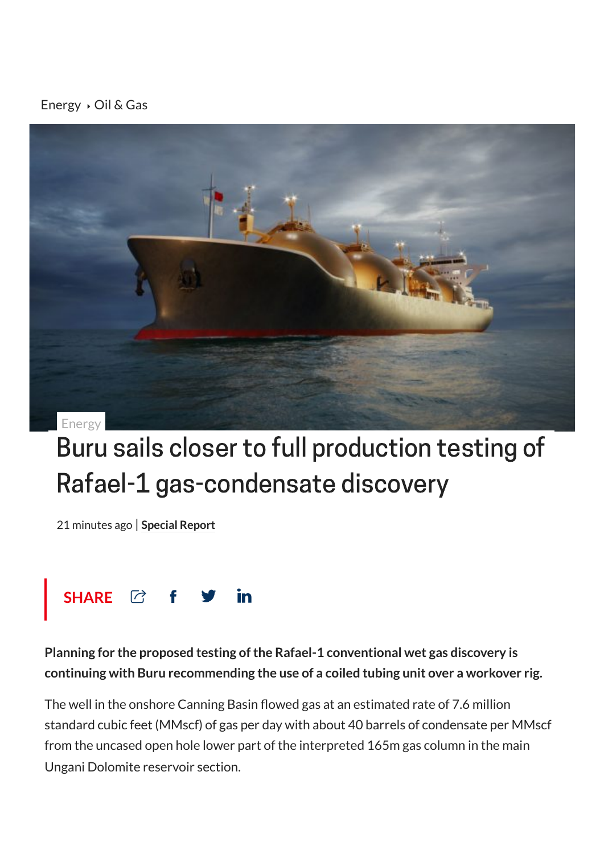[Energy](https://stockhead.com.au/category/energy)  $\rightarrow$  Oil & [Gas](https://stockhead.com.au/topic/oil-and-gas/)



## Buru sails closer to full production testing of Rafael-1 gas-condensate discovery

21 minutes ago | **[Special](https://stockhead.com.au/author/special-report/) Report**



**Planning for the proposed testing ofthe Rafael-1 conventional wet gas discovery is continuing with Buru recommending the use of a coiled tubing unit over a workover rig.**

The well in the onshore Canning Basin flowed gas at an estimated rate of 7.6 million standard cubic feet (MMscf) of gas per day with about 40 barrels of condensate per MMscf from the uncased open hole lower part of the interpreted 165m gas column in the main Ungani Dolomite reservoir section.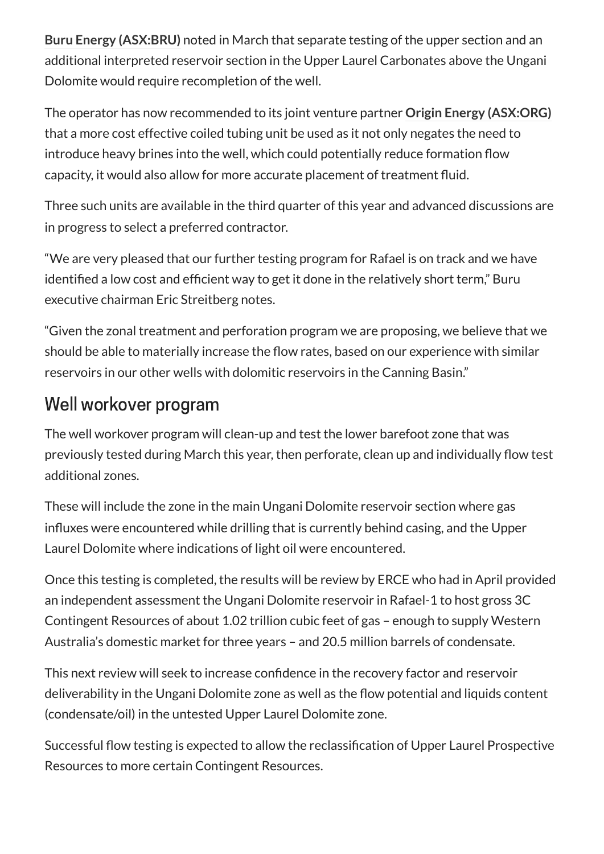**Buru Energy [\(ASX:BRU\)](https://stockhead.com.au/company/buru-energy-bru/)** noted in March that separate testing of the upper section and an additional interpreted reservoir section in the Upper Laurel Carbonates above the Ungani Dolomite would require recompletion of the well.

The operator has now recommended to its joint venture partner **Origin Energy [\(ASX:ORG\)](https://stockhead.com.au/company/origin-energy-org/)** that a more cost effective coiled tubing unit be used as it not only negates the need to introduce heavy brines into the well, which could potentially reduce formation flow capacity, it would also allow for more accurate placement of treatment fluid.

Three such units are available in the third quarter of this year and advanced discussions are in progress to select a preferred contractor.

"We are very pleased that our further testing program for Rafael is on track and we have identified a low cost and efficient way to get it done in the relatively short term," Buru executive chairman Eric Streitberg notes.

"Given the zonal treatment and perforation program we are proposing, we believe that we should be able to materially increase the flow rates, based on our experience with similar reservoirs in our other wells with dolomitic reservoirs in the Canning Basin."

## Well workover program

The well workover program will clean-up and test the lower barefoot zone that was previously tested during March this year, then perforate, clean up and individually flow test additional zones.

These will include the zone in the main Ungani Dolomite reservoir section where gas influxes were encountered while drilling that is currently behind casing, and the Upper Laurel Dolomite where indications of light oil were encountered.

Once this testing is completed, the results will be review by ERCE who had in April provided an independent assessment the Ungani Dolomite reservoir in Rafael-1 to host gross 3C Contingent Resources of about 1.02 trillion cubic feet of gas – enough to supply Western Australia's domestic market for three years – and 20.5 million barrels of condensate.

This next review will seek to increase confidence in the recovery factor and reservoir deliverability in the Ungani Dolomite zone as well as the flow potential and liquids content (condensate/oil) in the untested Upper Laurel Dolomite zone.

Successful flow testing is expected to allow the reclassification of Upper Laurel Prospective Resources to more certain Contingent Resources.